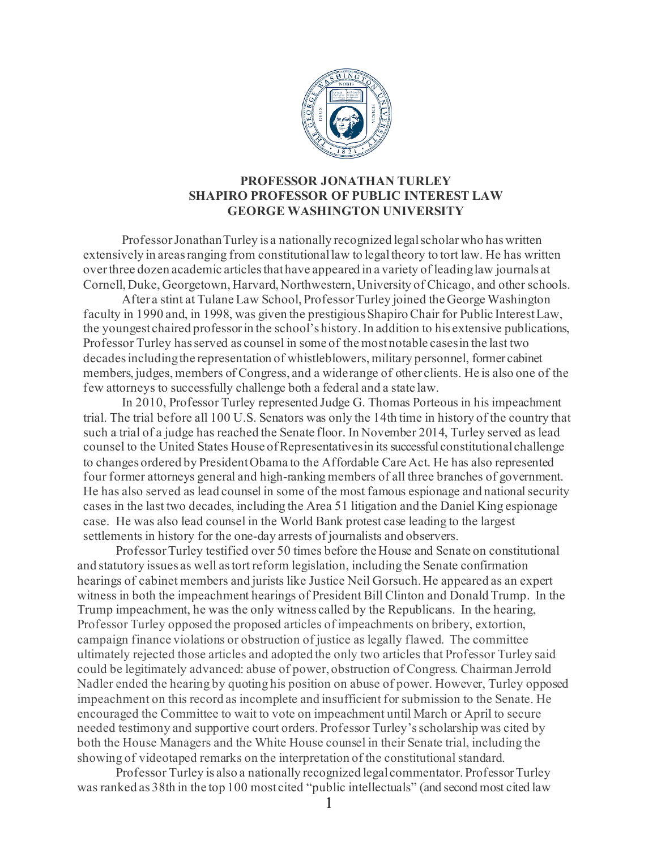

## **PROFESSOR JONATHAN TURLEY SHAPIRO PROFESSOR OF PUBLIC INTEREST LAW GEORGE WASHINGTON UNIVERSITY**

ProfessorJonathanTurley is a nationally recognized legalscholarwho haswritten extensively in areas ranging from constitutional law to legal theory to tort law. He has written over three dozen academic articles that have appeared in a variety of leading law journals at Cornell, Duke, Georgetown, Harvard, Northwestern, University of Chicago, and other schools.

After a stint at Tulane Law School, ProfessorTurley joined the George Washington faculty in 1990 and, in 1998, was given the prestigious Shapiro Chair for Public InterestLaw, the youngest chaired professorin the school's history.In addition to his extensive publications, Professor Turley hasserved as counsel in some of the most notable casesin the last two decadesincludingthe representation of whistleblowers, military personnel, former cabinet members, judges, members of Congress, and a widerange of other clients. He is also one of the few attorneys to successfully challenge both a federal and a state law.

In 2010, Professor Turley represented Judge G. Thomas Porteous in his impeachment trial. The trial before all 100 U.S. Senators was only the 14th time in history of the country that such a trial of a judge has reached the Senate floor. In November 2014, Turley served as lead counsel to the United States House ofRepresentativesin its successful constitutional challenge to changes ordered by PresidentObama to the Affordable Care Act. He has also represented four former attorneys general and high-ranking members of all three branches of government. He has also served as lead counsel in some of the most famous espionage and national security cases in the last two decades, including the Area 51 litigation and the Daniel King espionage case. He was also lead counsel in the World Bank protest case leading to the largest settlements in history for the one-day arrests of journalists and observers.

ProfessorTurley testified over 50 times before the House and Senate on constitutional and statutory issues as well astort reform legislation, including the Senate confirmation hearings of cabinet members and jurists like Justice Neil Gorsuch. He appeared as an expert witness in both the impeachment hearings of President Bill Clinton and Donald Trump. In the Trump impeachment, he was the only witness called by the Republicans. In the hearing, Professor Turley opposed the proposed articles of impeachments on bribery, extortion, campaign finance violations or obstruction of justice as legally flawed. The committee ultimately rejected those articles and adopted the only two articles that Professor Turley said could be legitimately advanced: abuse of power, obstruction of Congress. Chairman Jerrold Nadler ended the hearing by quoting his position on abuse of power. However, Turley opposed impeachment on this record as incomplete and insufficient for submission to the Senate. He encouraged the Committee to wait to vote on impeachment until March or April to secure needed testimony and supportive court orders. Professor Turley's scholarship was cited by both the House Managers and the White House counsel in their Senate trial, including the showing of videotaped remarks on the interpretation of the constitutional standard.

Professor Turley is also a nationally recognized legal commentator. Professor Turley was ranked as 38th in the top 100 most cited "public intellectuals" (and second most cited law